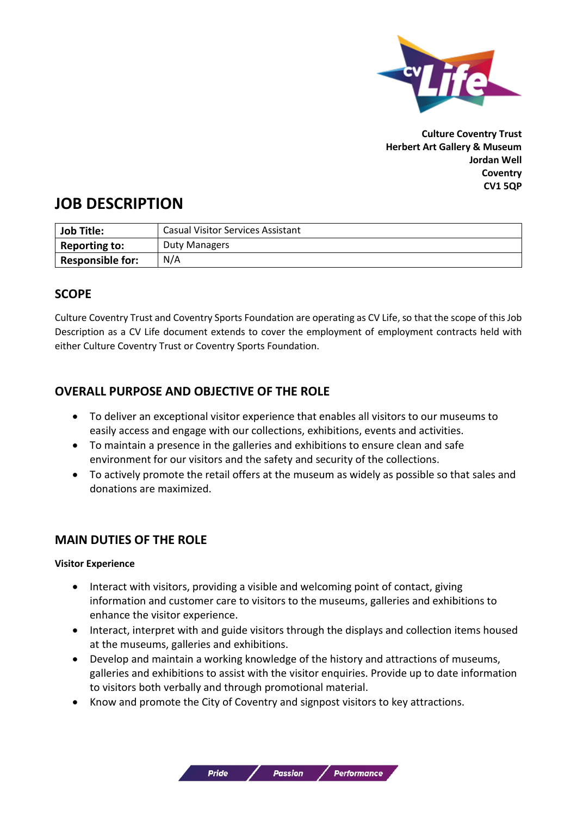

**Culture Coventry Trust Herbert Art Gallery & Museum Jordan Well Coventry CV1 5QP**

# **JOB DESCRIPTION**

| <b>Job Title:</b>       | <b>Casual Visitor Services Assistant</b> |
|-------------------------|------------------------------------------|
| <b>Reporting to:</b>    | Duty Managers                            |
| <b>Responsible for:</b> | N/A                                      |

# **SCOPE**

Culture Coventry Trust and Coventry Sports Foundation are operating as CV Life, so that the scope of this Job Description as a CV Life document extends to cover the employment of employment contracts held with either Culture Coventry Trust or Coventry Sports Foundation.

# **OVERALL PURPOSE AND OBJECTIVE OF THE ROLE**

- To deliver an exceptional visitor experience that enables all visitors to our museums to easily access and engage with our collections, exhibitions, events and activities.
- To maintain a presence in the galleries and exhibitions to ensure clean and safe environment for our visitors and the safety and security of the collections.
- To actively promote the retail offers at the museum as widely as possible so that sales and donations are maximized.

# **MAIN DUTIES OF THE ROLE**

#### **Visitor Experience**

- Interact with visitors, providing a visible and welcoming point of contact, giving information and customer care to visitors to the museums, galleries and exhibitions to enhance the visitor experience.
- Interact, interpret with and guide visitors through the displays and collection items housed at the museums, galleries and exhibitions.
- Develop and maintain a working knowledge of the history and attractions of museums, galleries and exhibitions to assist with the visitor enquiries. Provide up to date information to visitors both verbally and through promotional material.

**Passion** 

• Know and promote the City of Coventry and signpost visitors to key attractions.

**Pride** 

**Performance**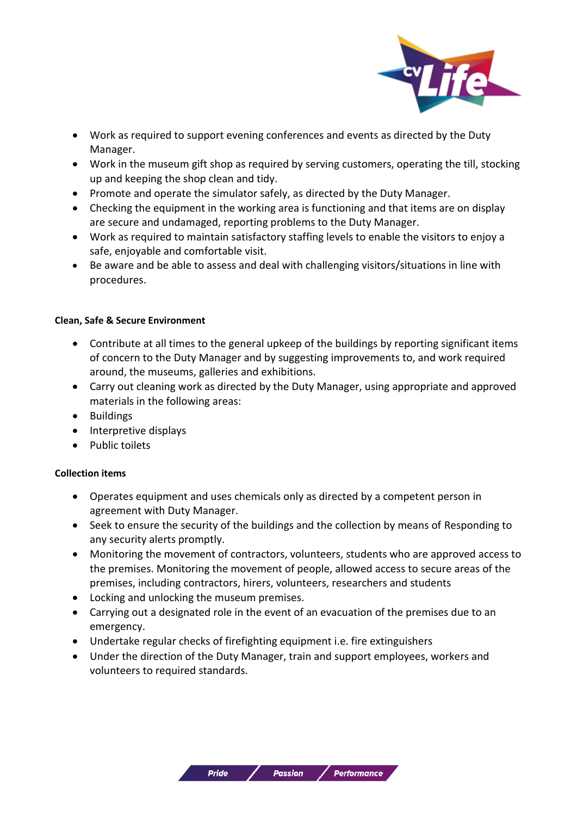

- Work as required to support evening conferences and events as directed by the Duty Manager.
- Work in the museum gift shop as required by serving customers, operating the till, stocking up and keeping the shop clean and tidy.
- Promote and operate the simulator safely, as directed by the Duty Manager.
- Checking the equipment in the working area is functioning and that items are on display are secure and undamaged, reporting problems to the Duty Manager.
- Work as required to maintain satisfactory staffing levels to enable the visitors to enjoy a safe, enjoyable and comfortable visit.
- Be aware and be able to assess and deal with challenging visitors/situations in line with procedures.

#### **Clean, Safe & Secure Environment**

- Contribute at all times to the general upkeep of the buildings by reporting significant items of concern to the Duty Manager and by suggesting improvements to, and work required around, the museums, galleries and exhibitions.
- Carry out cleaning work as directed by the Duty Manager, using appropriate and approved materials in the following areas:
- Buildings
- Interpretive displays
- Public toilets

#### **Collection items**

- Operates equipment and uses chemicals only as directed by a competent person in agreement with Duty Manager.
- Seek to ensure the security of the buildings and the collection by means of Responding to any security alerts promptly.
- Monitoring the movement of contractors, volunteers, students who are approved access to the premises. Monitoring the movement of people, allowed access to secure areas of the premises, including contractors, hirers, volunteers, researchers and students
- Locking and unlocking the museum premises.
- Carrying out a designated role in the event of an evacuation of the premises due to an emergency.
- Undertake regular checks of firefighting equipment i.e. fire extinguishers
- Under the direction of the Duty Manager, train and support employees, workers and volunteers to required standards.

**Passion** 

**Pride**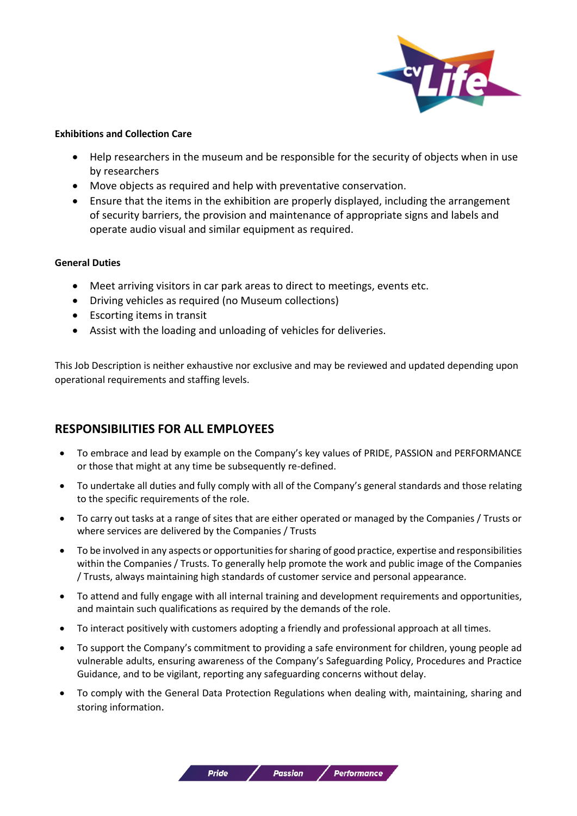

#### **Exhibitions and Collection Care**

- Help researchers in the museum and be responsible for the security of objects when in use by researchers
- Move objects as required and help with preventative conservation.
- Ensure that the items in the exhibition are properly displayed, including the arrangement of security barriers, the provision and maintenance of appropriate signs and labels and operate audio visual and similar equipment as required.

#### **General Duties**

- Meet arriving visitors in car park areas to direct to meetings, events etc.
- Driving vehicles as required (no Museum collections)
- Escorting items in transit
- Assist with the loading and unloading of vehicles for deliveries.

This Job Description is neither exhaustive nor exclusive and may be reviewed and updated depending upon operational requirements and staffing levels.

# **RESPONSIBILITIES FOR ALL EMPLOYEES**

- To embrace and lead by example on the Company's key values of PRIDE, PASSION and PERFORMANCE or those that might at any time be subsequently re-defined.
- To undertake all duties and fully comply with all of the Company's general standards and those relating to the specific requirements of the role.
- To carry out tasks at a range of sites that are either operated or managed by the Companies / Trusts or where services are delivered by the Companies / Trusts
- To be involved in any aspects or opportunities for sharing of good practice, expertise and responsibilities within the Companies / Trusts. To generally help promote the work and public image of the Companies / Trusts, always maintaining high standards of customer service and personal appearance.
- To attend and fully engage with all internal training and development requirements and opportunities, and maintain such qualifications as required by the demands of the role.
- To interact positively with customers adopting a friendly and professional approach at all times.
- To support the Company's commitment to providing a safe environment for children, young people ad vulnerable adults, ensuring awareness of the Company's Safeguarding Policy, Procedures and Practice Guidance, and to be vigilant, reporting any safeguarding concerns without delay.
- To comply with the General Data Protection Regulations when dealing with, maintaining, sharing and storing information.

**Passion** 

**Pride**